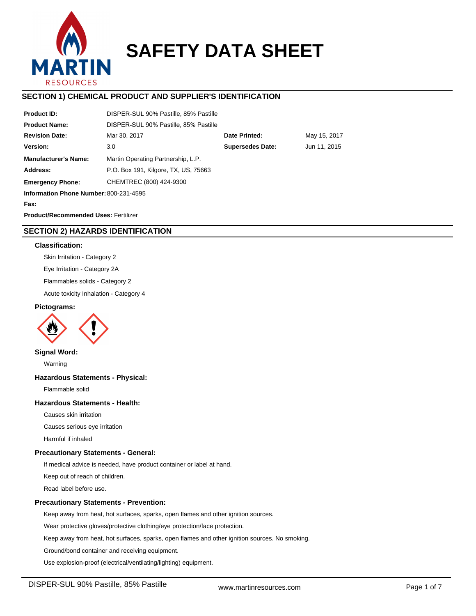

# **SAFETY DATA SHEET**

# **SECTION 1) CHEMICAL PRODUCT AND SUPPLIER'S IDENTIFICATION**

| <b>Product ID:</b>                          | DISPER-SUL 90% Pastille, 85% Pastille          |  |              |  |  |
|---------------------------------------------|------------------------------------------------|--|--------------|--|--|
| <b>Product Name:</b>                        | DISPER-SUL 90% Pastille, 85% Pastille          |  |              |  |  |
| <b>Revision Date:</b>                       | Date Printed:<br>Mar 30, 2017                  |  | May 15, 2017 |  |  |
| Version:                                    | <b>Supersedes Date:</b><br>Jun 11, 2015<br>3.0 |  |              |  |  |
| <b>Manufacturer's Name:</b>                 | Martin Operating Partnership, L.P.             |  |              |  |  |
| Address:                                    | P.O. Box 191, Kilgore, TX, US, 75663           |  |              |  |  |
| <b>Emergency Phone:</b>                     | CHEMTREC (800) 424-9300                        |  |              |  |  |
| Information Phone Number: 800-231-4595      |                                                |  |              |  |  |
| Fax:                                        |                                                |  |              |  |  |
| <b>Product/Recommended Uses: Fertilizer</b> |                                                |  |              |  |  |

**SECTION 2) HAZARDS IDENTIFICATION**

## **Classification:**

Skin Irritation - Category 2

Eye Irritation - Category 2A

Flammables solids - Category 2

Acute toxicity Inhalation - Category 4

# **Pictograms:**



# **Signal Word:**

Warning

## **Hazardous Statements - Physical:**

Flammable solid

## **Hazardous Statements - Health:**

Causes skin irritation

Causes serious eye irritation

Harmful if inhaled

## **Precautionary Statements - General:**

If medical advice is needed, have product container or label at hand.

Keep out of reach of children.

Read label before use.

## **Precautionary Statements - Prevention:**

Keep away from heat, hot surfaces, sparks, open flames and other ignition sources.

Wear protective gloves/protective clothing/eye protection/face protection.

Keep away from heat, hot surfaces, sparks, open flames and other ignition sources. No smoking.

Ground/bond container and receiving equipment.

Use explosion-proof (electrical/ventilating/lighting) equipment.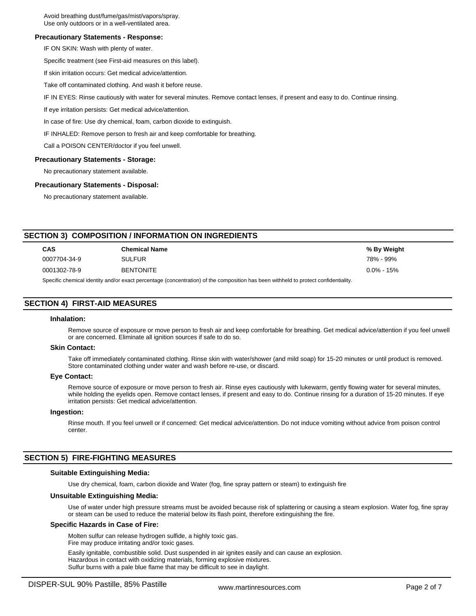Avoid breathing dust/fume/gas/mist/vapors/spray. Use only outdoors or in a well-ventilated area.

## **Precautionary Statements - Response:**

IF ON SKIN: Wash with plenty of water.

Specific treatment (see First-aid measures on this label).

If skin irritation occurs: Get medical advice/attention.

Take off contaminated clothing. And wash it before reuse.

IF IN EYES: Rinse cautiously with water for several minutes. Remove contact lenses, if present and easy to do. Continue rinsing.

If eye irritation persists: Get medical advice/attention.

In case of fire: Use dry chemical, foam, carbon dioxide to extinguish.

IF INHALED: Remove person to fresh air and keep comfortable for breathing.

Call a POISON CENTER/doctor if you feel unwell.

#### **Precautionary Statements - Storage:**

No precautionary statement available.

#### **Precautionary Statements - Disposal:**

No precautionary statement available.

# **SECTION 3) COMPOSITION / INFORMATION ON INGREDIENTS**

| <b>CAS</b>                                                                                                                         | <b>Chemical Name</b> | % By Weight    |  |  |
|------------------------------------------------------------------------------------------------------------------------------------|----------------------|----------------|--|--|
| 0007704-34-9                                                                                                                       | <b>SULFUR</b>        | 78% - 99%      |  |  |
| 0001302-78-9                                                                                                                       | <b>BENTONITE</b>     | $0.0\% - 15\%$ |  |  |
| Specific chemical identity and/or exact perceptage (concentration) of the composition has been withheld to protect confidentiality |                      |                |  |  |

Specific chemical identity and/or exact percentage (concentration) of the composition has been withheld to protect confidentiality.

# **SECTION 4) FIRST-AID MEASURES**

## **Inhalation:**

Remove source of exposure or move person to fresh air and keep comfortable for breathing. Get medical advice/attention if you feel unwell or are concerned. Eliminate all ignition sources if safe to do so.

## **Skin Contact:**

Take off immediately contaminated clothing. Rinse skin with water/shower (and mild soap) for 15-20 minutes or until product is removed. Store contaminated clothing under water and wash before re-use, or discard.

#### **Eye Contact:**

Remove source of exposure or move person to fresh air. Rinse eyes cautiously with lukewarm, gently flowing water for several minutes, while holding the eyelids open. Remove contact lenses, if present and easy to do. Continue rinsing for a duration of 15-20 minutes. If eye irritation persists: Get medical advice/attention.

#### **Ingestion:**

Rinse mouth. If you feel unwell or if concerned: Get medical advice/attention. Do not induce vomiting without advice from poison control center.

## **SECTION 5) FIRE-FIGHTING MEASURES**

#### **Suitable Extinguishing Media:**

Use dry chemical, foam, carbon dioxide and Water (fog, fine spray pattern or steam) to extinguish fire

### **Unsuitable Extinguishing Media:**

Use of water under high pressure streams must be avoided because risk of splattering or causing a steam explosion. Water fog, fine spray or steam can be used to reduce the material below its flash point, therefore extinguishing the fire.

#### **Specific Hazards in Case of Fire:**

Molten sulfur can release hydrogen sulfide, a highly toxic gas. Fire may produce irritating and/or toxic gases.

Easily ignitable, combustible solid. Dust suspended in air ignites easily and can cause an explosion. Hazardous in contact with oxidizing materials, forming explosive mixtures. Sulfur burns with a pale blue flame that may be difficult to see in daylight.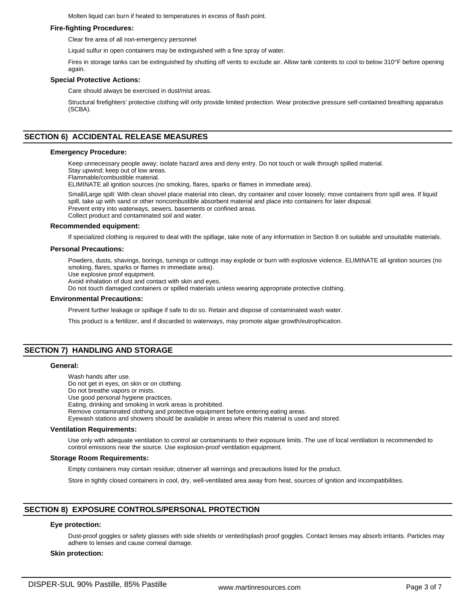Molten liquid can burn if heated to temperatures in excess of flash point.

## **Fire-fighting Procedures:**

Clear fire area of all non-emergency personnel

Liquid sulfur in open containers may be extinguished with a fine spray of water.

Fires in storage tanks can be extinguished by shutting off vents to exclude air. Allow tank contents to cool to below 310°F before opening again.

## **Special Protective Actions:**

Care should always be exercised in dust/mist areas.

Structural firefighters' protective clothing will only provide limited protection. Wear protective pressure self-contained breathing apparatus (SCBA).

# **SECTION 6) ACCIDENTAL RELEASE MEASURES**

### **Emergency Procedure:**

Keep unnecessary people away; isolate hazard area and deny entry. Do not touch or walk through spilled material.

Stay upwind; keep out of low areas.

Flammable/combustible material.

ELIMINATE all ignition sources (no smoking, flares, sparks or flames in immediate area).

Small/Large spill: With clean shovel place material into clean, dry container and cover loosely; move containers from spill area. If liquid spill, take up with sand or other noncombustible absorbent material and place into containers for later disposal. Prevent entry into waterways, sewers, basements or confined areas. Collect product and contaminated soil and water.

#### **Recommended equipment:**

If specialized clothing is required to deal with the spillage, take note of any information in Section 8 on suitable and unsuitable materials.

## **Personal Precautions:**

Powders, dusts, shavings, borings, turnings or cuttings may explode or burn with explosive violence. ELIMINATE all ignition sources (no smoking, flares, sparks or flames in immediate area).

Use explosive proof equipment.

Avoid inhalation of dust and contact with skin and eyes.

Do not touch damaged containers or spilled materials unless wearing appropriate protective clothing.

### **Environmental Precautions:**

Prevent further leakage or spillage if safe to do so. Retain and dispose of contaminated wash water.

This product is a fertilizer, and if discarded to waterways, may promote algae growth/eutrophication.

# **SECTION 7) HANDLING AND STORAGE**

#### **General:**

Wash hands after use. Do not get in eyes, on skin or on clothing. Do not breathe vapors or mists. Use good personal hygiene practices. Eating, drinking and smoking in work areas is prohibited. Remove contaminated clothing and protective equipment before entering eating areas. Eyewash stations and showers should be available in areas where this material is used and stored.

## **Ventilation Requirements:**

Use only with adequate ventilation to control air contaminants to their exposure limits. The use of local ventilation is recommended to control emissions near the source. Use explosion-proof ventilation equipment.

## **Storage Room Requirements:**

Empty containers may contain residue; observer all warnings and precautions listed for the product.

Store in tightly closed containers in cool, dry, well-ventilated area away from heat, sources of ignition and incompatibilities.

# **SECTION 8) EXPOSURE CONTROLS/PERSONAL PROTECTION**

## **Eye protection:**

Dust-proof goggles or safety glasses with side shields or vented/splash proof goggles. Contact lenses may absorb irritants. Particles may adhere to lenses and cause corneal damage.

#### **Skin protection:**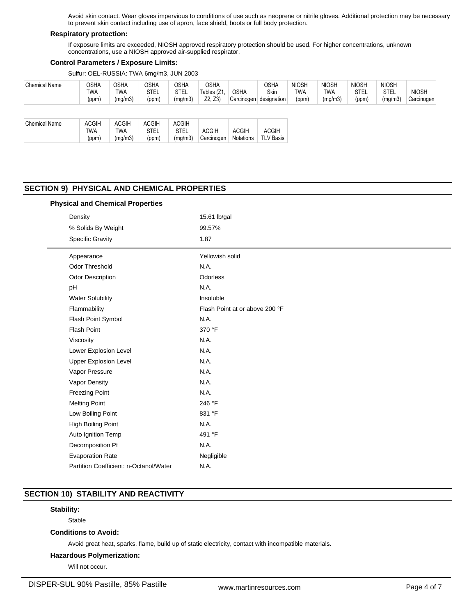Avoid skin contact. Wear gloves impervious to conditions of use such as neoprene or nitrile gloves. Additional protection may be necessary to prevent skin contact including use of apron, face shield, boots or full body protection.

# **Respiratory protection:**

If exposure limits are exceeded, NIOSH approved respiratory protection should be used. For higher concentrations, unknown concentrations, use a NIOSH approved air-supplied respirator.

## **Control Parameters / Exposure Limits:**

Sulfur: OEL-RUSSIA: TWA 6mg/m3, JUN 2003

| <b>Chemical Name</b> | OSHA<br>TWA<br>(ppm)                | <b>OSHA</b><br><b>TWA</b><br>(mg/m3)  | <b>OSHA</b><br>STEL<br>(ppm)  | <b>OSHA</b><br><b>STEL</b><br>(mg/m3)  | <b>OSHA</b><br>Tables (Z1<br>Z2, Z3 | <b>OSHA</b><br>Carcinogen | <b>OSHA</b><br>Skin<br>designation | <b>NIOSH</b><br>TWA<br>(ppm) | <b>NIOSH</b><br><b>TWA</b><br>(mg/m3) | <b>NIOSH</b><br>STEL<br>(ppm) | <b>NIOSH</b><br><b>STEL</b><br>(mg/m3) | <b>NIOSH</b><br>Carcinogen |
|----------------------|-------------------------------------|---------------------------------------|-------------------------------|----------------------------------------|-------------------------------------|---------------------------|------------------------------------|------------------------------|---------------------------------------|-------------------------------|----------------------------------------|----------------------------|
| <b>Chemical Name</b> | <b>ACGIH</b><br><b>TWA</b><br>(ppm) | <b>ACGIH</b><br><b>TWA</b><br>(mg/m3) | <b>ACGIH</b><br>STEL<br>(ppm) | <b>ACGIH</b><br><b>STEL</b><br>(mg/m3) | <b>ACGIH</b><br>Carcinogen          | <b>ACGIH</b><br>Notations | <b>ACGIH</b><br><b>TLV Basis</b>   |                              |                                       |                               |                                        |                            |

# **SECTION 9) PHYSICAL AND CHEMICAL PROPERTIES**

## **Physical and Chemical Properties**

| Density |                                        | 15.61 lb/gal                   |  |  |  |  |
|---------|----------------------------------------|--------------------------------|--|--|--|--|
|         | % Solids By Weight                     | 99.57%                         |  |  |  |  |
|         | <b>Specific Gravity</b>                | 1.87                           |  |  |  |  |
|         | Appearance                             | Yellowish solid                |  |  |  |  |
|         | <b>Odor Threshold</b>                  | N.A.                           |  |  |  |  |
|         | Odor Description                       | Odorless                       |  |  |  |  |
|         | pH                                     | N.A.                           |  |  |  |  |
|         | <b>Water Solubility</b>                | Insoluble                      |  |  |  |  |
|         | Flammability                           | Flash Point at or above 200 °F |  |  |  |  |
|         | Flash Point Symbol                     | N.A.                           |  |  |  |  |
|         | <b>Flash Point</b>                     | 370 °F                         |  |  |  |  |
|         | Viscosity                              | N.A.                           |  |  |  |  |
|         | Lower Explosion Level                  | N.A.                           |  |  |  |  |
|         | <b>Upper Explosion Level</b>           | N.A.                           |  |  |  |  |
|         | Vapor Pressure                         | N.A.                           |  |  |  |  |
|         | Vapor Density                          | N.A.                           |  |  |  |  |
|         | <b>Freezing Point</b>                  | N.A.                           |  |  |  |  |
|         | <b>Melting Point</b>                   | 246 °F                         |  |  |  |  |
|         | Low Boiling Point                      | 831 °F                         |  |  |  |  |
|         | High Boiling Point                     | N.A.                           |  |  |  |  |
|         | Auto Ignition Temp                     | 491 °F                         |  |  |  |  |
|         | Decomposition Pt                       | N.A.                           |  |  |  |  |
|         | <b>Evaporation Rate</b>                | Negligible                     |  |  |  |  |
|         | Partition Coefficient: n-Octanol/Water | N.A.                           |  |  |  |  |

# **SECTION 10) STABILITY AND REACTIVITY**

## **Stability:**

Stable

# **Conditions to Avoid:**

Avoid great heat, sparks, flame, build up of static electricity, contact with incompatible materials.

# **Hazardous Polymerization:**

Will not occur.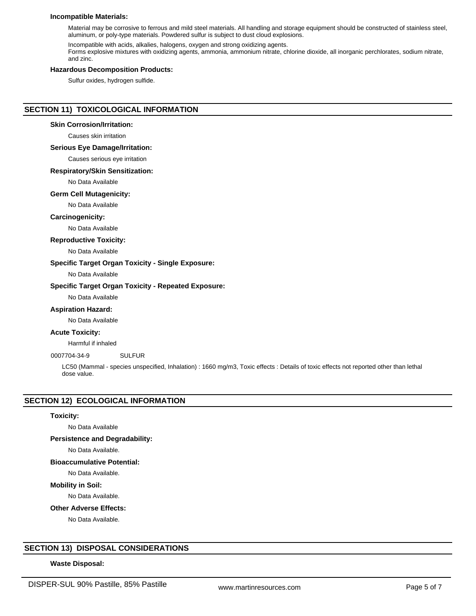## **Incompatible Materials:**

Material may be corrosive to ferrous and mild steel materials. All handling and storage equipment should be constructed of stainless steel, aluminum, or poly-type materials. Powdered sulfur is subject to dust cloud explosions.

Incompatible with acids, alkalies, halogens, oxygen and strong oxidizing agents. Forms explosive mixtures with oxidizing agents, ammonia, ammonium nitrate, chlorine dioxide, all inorganic perchlorates, sodium nitrate, and zinc.

## **Hazardous Decomposition Products:**

Sulfur oxides, hydrogen sulfide.

# **SECTION 11) TOXICOLOGICAL INFORMATION**

## **Skin Corrosion/Irritation:**

Causes skin irritation

## **Serious Eye Damage/Irritation:**

Causes serious eye irritation

## **Respiratory/Skin Sensitization:**

No Data Available

#### **Germ Cell Mutagenicity:**

No Data Available

## **Carcinogenicity:**

No Data Available

#### **Reproductive Toxicity:**

No Data Available

## **Specific Target Organ Toxicity - Single Exposure:**

No Data Available

## **Specific Target Organ Toxicity - Repeated Exposure:**

No Data Available

## **Aspiration Hazard:**

No Data Available

# **Acute Toxicity:**

Harmful if inhaled

# 0007704-34-9 SULFUR

LC50 (Mammal - species unspecified, Inhalation) : 1660 mg/m3, Toxic effects : Details of toxic effects not reported other than lethal dose value.

## **SECTION 12) ECOLOGICAL INFORMATION**

#### **Toxicity:**

No Data Available

## **Persistence and Degradability:**

No Data Available.

## **Bioaccumulative Potential:**

No Data Available.

**Mobility in Soil:**

No Data Available.

**Other Adverse Effects:**

No Data Available.

# **SECTION 13) DISPOSAL CONSIDERATIONS**

## **Waste Disposal:**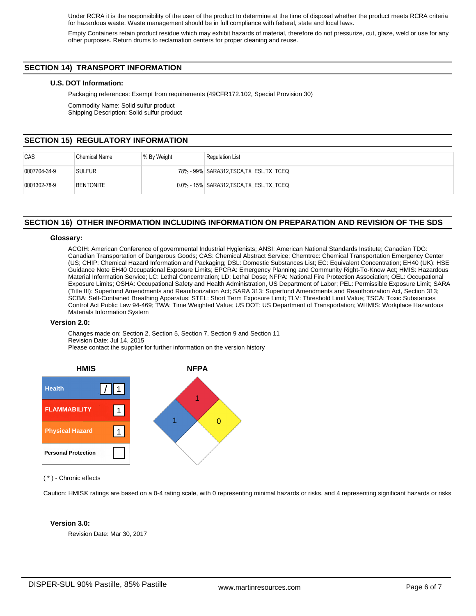Under RCRA it is the responsibility of the user of the product to determine at the time of disposal whether the product meets RCRA criteria for hazardous waste. Waste management should be in full compliance with federal, state and local laws.

Empty Containers retain product residue which may exhibit hazards of material, therefore do not pressurize, cut, glaze, weld or use for any other purposes. Return drums to reclamation centers for proper cleaning and reuse.

# **SECTION 14) TRANSPORT INFORMATION**

## **U.S. DOT Information:**

Packaging references: Exempt from requirements (49CFR172.102, Special Provision 30)

Commodity Name: Solid sulfur product Shipping Description: Solid sulfur product

# **SECTION 15) REGULATORY INFORMATION**

| CAS                  | Chemical Name    | % By Weight | <b>Regulation List</b>                    |
|----------------------|------------------|-------------|-------------------------------------------|
| 0007704-34-9         | <b>SULFUR</b>    |             | 78% - 99% SARA312,TSCA,TX ESL,TX TCEQ     |
| $ 0001302 - 78 - 9 $ | <b>BENTONITE</b> |             | 0.0% - 15% SARA312, TSCA, TX ESL, TX TCEQ |

# **SECTION 16) OTHER INFORMATION INCLUDING INFORMATION ON PREPARATION AND REVISION OF THE SDS**

## **Glossary:**

ACGIH: American Conference of governmental Industrial Hygienists; ANSI: American National Standards Institute; Canadian TDG: Canadian Transportation of Dangerous Goods; CAS: Chemical Abstract Service; Chemtrec: Chemical Transportation Emergency Center (US; CHIP: Chemical Hazard Information and Packaging; DSL: Domestic Substances List; EC: Equivalent Concentration; EH40 (UK): HSE Guidance Note EH40 Occupational Exposure Limits; EPCRA: Emergency Planning and Community Right-To-Know Act; HMIS: Hazardous Material Information Service; LC: Lethal Concentration; LD: Lethal Dose; NFPA: National Fire Protection Association; OEL: Occupational Exposure Limits; OSHA: Occupational Safety and Health Administration, US Department of Labor; PEL: Permissible Exposure Limit; SARA (Title III): Superfund Amendments and Reauthorization Act; SARA 313: Superfund Amendments and Reauthorization Act, Section 313; SCBA: Self-Contained Breathing Apparatus; STEL: Short Term Exposure Limit; TLV: Threshold Limit Value; TSCA: Toxic Substances Control Act Public Law 94-469; TWA: Time Weighted Value; US DOT: US Department of Transportation; WHMIS: Workplace Hazardous Materials Information System

#### **Version 2.0:**

Changes made on: Section 2, Section 5, Section 7, Section 9 and Section 11 Revision Date: Jul 14, 2015 Please contact the supplier for further information on the version history



## ( \* ) - Chronic effects

Caution: HMIS® ratings are based on a 0-4 rating scale, with 0 representing minimal hazards or risks, and 4 representing significant hazards or risks

#### **Version 3.0:**

Revision Date: Mar 30, 2017